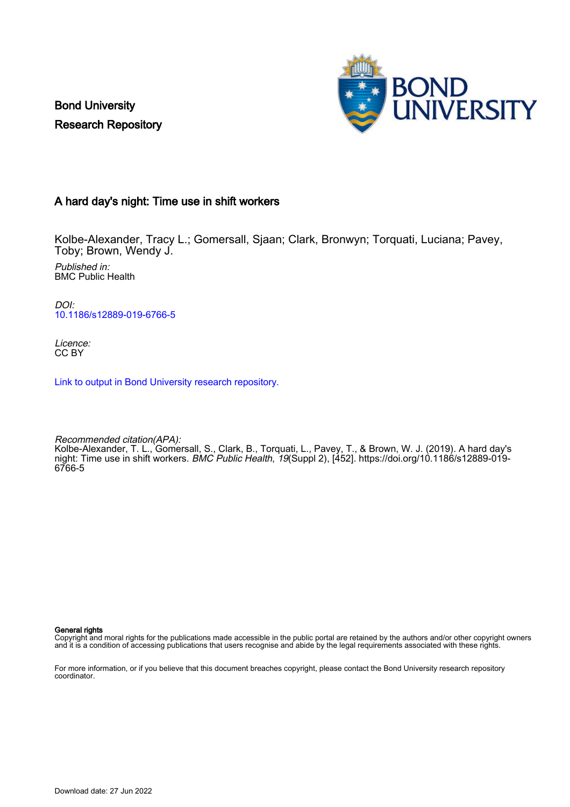Bond University Research Repository



## A hard day's night: Time use in shift workers

Kolbe-Alexander, Tracy L.; Gomersall, Sjaan; Clark, Bronwyn; Torquati, Luciana; Pavey, Toby; Brown, Wendy J.

Published in: BMC Public Health

DOI: [10.1186/s12889-019-6766-5](https://doi.org/10.1186/s12889-019-6766-5)

Licence: CC BY

[Link to output in Bond University research repository.](https://research.bond.edu.au/en/publications/67306660-aca0-4d6a-a20e-6db16f71b02e)

Recommended citation(APA):

Kolbe-Alexander, T. L., Gomersall, S., Clark, B., Torquati, L., Pavey, T., & Brown, W. J. (2019). A hard day's night: Time use in shift workers. BMC Public Health, 19(Suppl 2), [452]. [https://doi.org/10.1186/s12889-019-](https://doi.org/10.1186/s12889-019-6766-5) [6766-5](https://doi.org/10.1186/s12889-019-6766-5)

General rights

Copyright and moral rights for the publications made accessible in the public portal are retained by the authors and/or other copyright owners and it is a condition of accessing publications that users recognise and abide by the legal requirements associated with these rights.

For more information, or if you believe that this document breaches copyright, please contact the Bond University research repository coordinator.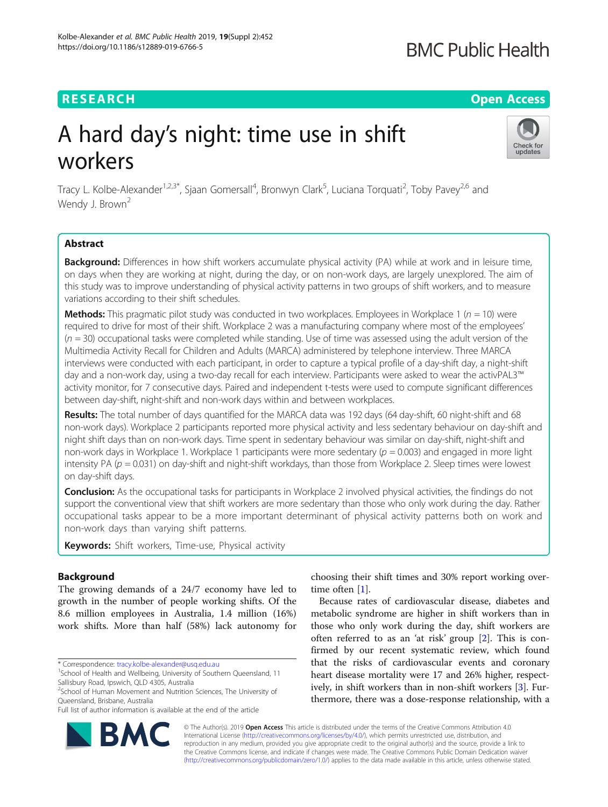# **BMC Public Health**

# **RESEARCH CHEAR CHEAR CHEAR CHEAR CHEAR CHEAP CONTROL**

Check for updates

# A hard day's night: time use in shift workers

Tracy L. Kolbe-Alexander<sup>1,2,3\*</sup>, Sjaan Gomersall<sup>4</sup>, Bronwyn Clark<sup>5</sup>, Luciana Torquati<sup>2</sup>, Toby Pavey<sup>2,6</sup> and Wendy J. Brown<sup>2</sup>

### Abstract

Background: Differences in how shift workers accumulate physical activity (PA) while at work and in leisure time, on days when they are working at night, during the day, or on non-work days, are largely unexplored. The aim of this study was to improve understanding of physical activity patterns in two groups of shift workers, and to measure variations according to their shift schedules.

**Methods:** This pragmatic pilot study was conducted in two workplaces. Employees in Workplace 1 ( $n = 10$ ) were required to drive for most of their shift. Workplace 2 was a manufacturing company where most of the employees'  $(n = 30)$  occupational tasks were completed while standing. Use of time was assessed using the adult version of the Multimedia Activity Recall for Children and Adults (MARCA) administered by telephone interview. Three MARCA interviews were conducted with each participant, in order to capture a typical profile of a day-shift day, a night-shift day and a non-work day, using a two-day recall for each interview. Participants were asked to wear the activPAL3™ activity monitor, for 7 consecutive days. Paired and independent t-tests were used to compute significant differences between day-shift, night-shift and non-work days within and between workplaces.

Results: The total number of days quantified for the MARCA data was 192 days (64 day-shift, 60 night-shift and 68 non-work days). Workplace 2 participants reported more physical activity and less sedentary behaviour on day-shift and night shift days than on non-work days. Time spent in sedentary behaviour was similar on day-shift, night-shift and non-work days in Workplace 1. Workplace 1 participants were more sedentary ( $p = 0.003$ ) and engaged in more light intensity PA ( $p = 0.031$ ) on day-shift and night-shift workdays, than those from Workplace 2. Sleep times were lowest on day-shift days.

**Conclusion:** As the occupational tasks for participants in Workplace 2 involved physical activities, the findings do not support the conventional view that shift workers are more sedentary than those who only work during the day. Rather occupational tasks appear to be a more important determinant of physical activity patterns both on work and non-work days than varying shift patterns.

Keywords: Shift workers, Time-use, Physical activity

### Background

The growing demands of a 24/7 economy have led to growth in the number of people working shifts. Of the 8.6 million employees in Australia, 1.4 million (16%) work shifts. More than half (58%) lack autonomy for

\* Correspondence: [tracy.kolbe-alexander@usq.edu.au](mailto:tracy.kolbe-alexander@usq.edu.au) <sup>1</sup>

<sup>2</sup>School of Human Movement and Nutrition Sciences, The University of Queensland, Brisbane, Australia

Full list of author information is available at the end of the article



choosing their shift times and 30% report working overtime often [\[1\]](#page-10-0).

Because rates of cardiovascular disease, diabetes and metabolic syndrome are higher in shift workers than in those who only work during the day, shift workers are often referred to as an 'at risk' group [\[2](#page-10-0)]. This is confirmed by our recent systematic review, which found that the risks of cardiovascular events and coronary heart disease mortality were 17 and 26% higher, respectively, in shift workers than in non-shift workers [[3\]](#page-10-0). Furthermore, there was a dose-response relationship, with a

© The Author(s). 2019 **Open Access** This article is distributed under the terms of the Creative Commons Attribution 4.0 International License [\(http://creativecommons.org/licenses/by/4.0/](http://creativecommons.org/licenses/by/4.0/)), which permits unrestricted use, distribution, and reproduction in any medium, provided you give appropriate credit to the original author(s) and the source, provide a link to the Creative Commons license, and indicate if changes were made. The Creative Commons Public Domain Dedication waiver [\(http://creativecommons.org/publicdomain/zero/1.0/](http://creativecommons.org/publicdomain/zero/1.0/)) applies to the data made available in this article, unless otherwise stated.

<sup>&</sup>lt;sup>1</sup>School of Health and Wellbeing, University of Southern Queensland, 11 Sallisbury Road, Ipswich, QLD 4305, Australia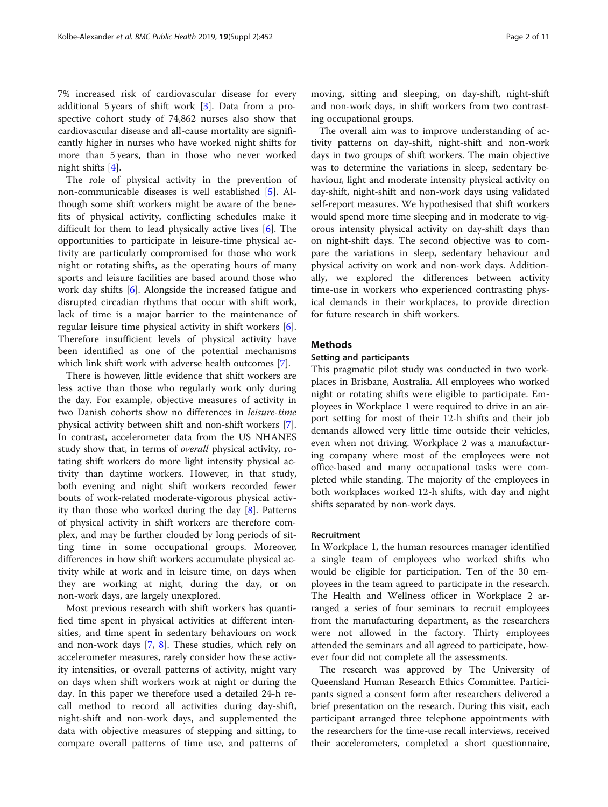7% increased risk of cardiovascular disease for every additional 5 years of shift work [\[3](#page-10-0)]. Data from a prospective cohort study of 74,862 nurses also show that cardiovascular disease and all-cause mortality are significantly higher in nurses who have worked night shifts for more than 5 years, than in those who never worked night shifts [[4](#page-10-0)].

The role of physical activity in the prevention of non-communicable diseases is well established [[5](#page-10-0)]. Although some shift workers might be aware of the benefits of physical activity, conflicting schedules make it difficult for them to lead physically active lives [\[6](#page-10-0)]. The opportunities to participate in leisure-time physical activity are particularly compromised for those who work night or rotating shifts, as the operating hours of many sports and leisure facilities are based around those who work day shifts [\[6](#page-10-0)]. Alongside the increased fatigue and disrupted circadian rhythms that occur with shift work, lack of time is a major barrier to the maintenance of regular leisure time physical activity in shift workers [\[6](#page-10-0)]. Therefore insufficient levels of physical activity have been identified as one of the potential mechanisms which link shift work with adverse health outcomes [[7](#page-10-0)].

There is however, little evidence that shift workers are less active than those who regularly work only during the day. For example, objective measures of activity in two Danish cohorts show no differences in leisure-time physical activity between shift and non-shift workers [\[7](#page-10-0)]. In contrast, accelerometer data from the US NHANES study show that, in terms of overall physical activity, rotating shift workers do more light intensity physical activity than daytime workers. However, in that study, both evening and night shift workers recorded fewer bouts of work-related moderate-vigorous physical activity than those who worked during the day [[8\]](#page-10-0). Patterns of physical activity in shift workers are therefore complex, and may be further clouded by long periods of sitting time in some occupational groups. Moreover, differences in how shift workers accumulate physical activity while at work and in leisure time, on days when they are working at night, during the day, or on non-work days, are largely unexplored.

Most previous research with shift workers has quantified time spent in physical activities at different intensities, and time spent in sedentary behaviours on work and non-work days [[7,](#page-10-0) [8\]](#page-10-0). These studies, which rely on accelerometer measures, rarely consider how these activity intensities, or overall patterns of activity, might vary on days when shift workers work at night or during the day. In this paper we therefore used a detailed 24-h recall method to record all activities during day-shift, night-shift and non-work days, and supplemented the data with objective measures of stepping and sitting, to compare overall patterns of time use, and patterns of

moving, sitting and sleeping, on day-shift, night-shift and non-work days, in shift workers from two contrasting occupational groups.

The overall aim was to improve understanding of activity patterns on day-shift, night-shift and non-work days in two groups of shift workers. The main objective was to determine the variations in sleep, sedentary behaviour, light and moderate intensity physical activity on day-shift, night-shift and non-work days using validated self-report measures. We hypothesised that shift workers would spend more time sleeping and in moderate to vigorous intensity physical activity on day-shift days than on night-shift days. The second objective was to compare the variations in sleep, sedentary behaviour and physical activity on work and non-work days. Additionally, we explored the differences between activity time-use in workers who experienced contrasting physical demands in their workplaces, to provide direction for future research in shift workers.

#### Methods

#### Setting and participants

This pragmatic pilot study was conducted in two workplaces in Brisbane, Australia. All employees who worked night or rotating shifts were eligible to participate. Employees in Workplace 1 were required to drive in an airport setting for most of their 12-h shifts and their job demands allowed very little time outside their vehicles, even when not driving. Workplace 2 was a manufacturing company where most of the employees were not office-based and many occupational tasks were completed while standing. The majority of the employees in both workplaces worked 12-h shifts, with day and night shifts separated by non-work days.

#### Recruitment

In Workplace 1, the human resources manager identified a single team of employees who worked shifts who would be eligible for participation. Ten of the 30 employees in the team agreed to participate in the research. The Health and Wellness officer in Workplace 2 arranged a series of four seminars to recruit employees from the manufacturing department, as the researchers were not allowed in the factory. Thirty employees attended the seminars and all agreed to participate, however four did not complete all the assessments.

The research was approved by The University of Queensland Human Research Ethics Committee. Participants signed a consent form after researchers delivered a brief presentation on the research. During this visit, each participant arranged three telephone appointments with the researchers for the time-use recall interviews, received their accelerometers, completed a short questionnaire,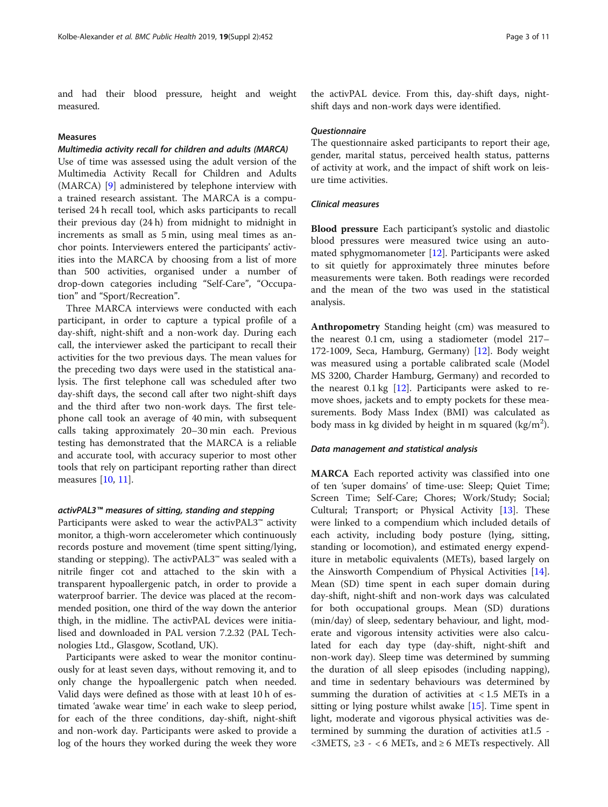and had their blood pressure, height and weight measured.

#### Measures

#### Multimedia activity recall for children and adults (MARCA)

Use of time was assessed using the adult version of the Multimedia Activity Recall for Children and Adults (MARCA) [[9\]](#page-10-0) administered by telephone interview with a trained research assistant. The MARCA is a computerised 24 h recall tool, which asks participants to recall their previous day (24 h) from midnight to midnight in increments as small as 5 min, using meal times as anchor points. Interviewers entered the participants' activities into the MARCA by choosing from a list of more than 500 activities, organised under a number of drop-down categories including "Self-Care", "Occupation" and "Sport/Recreation".

Three MARCA interviews were conducted with each participant, in order to capture a typical profile of a day-shift, night-shift and a non-work day. During each call, the interviewer asked the participant to recall their activities for the two previous days. The mean values for the preceding two days were used in the statistical analysis. The first telephone call was scheduled after two day-shift days, the second call after two night-shift days and the third after two non-work days. The first telephone call took an average of 40 min, with subsequent calls taking approximately 20–30 min each. Previous testing has demonstrated that the MARCA is a reliable and accurate tool, with accuracy superior to most other tools that rely on participant reporting rather than direct measures [[10,](#page-10-0) [11\]](#page-10-0).

#### activPAL3™ measures of sitting, standing and stepping

Participants were asked to wear the activPAL3™ activity monitor, a thigh-worn accelerometer which continuously records posture and movement (time spent sitting/lying, standing or stepping). The activPAL3™ was sealed with a nitrile finger cot and attached to the skin with a transparent hypoallergenic patch, in order to provide a waterproof barrier. The device was placed at the recommended position, one third of the way down the anterior thigh, in the midline. The activPAL devices were initialised and downloaded in PAL version 7.2.32 (PAL Technologies Ltd., Glasgow, Scotland, UK).

Participants were asked to wear the monitor continuously for at least seven days, without removing it, and to only change the hypoallergenic patch when needed. Valid days were defined as those with at least 10 h of estimated 'awake wear time' in each wake to sleep period, for each of the three conditions, day-shift, night-shift and non-work day. Participants were asked to provide a log of the hours they worked during the week they wore

#### Questionnaire

The questionnaire asked participants to report their age, gender, marital status, perceived health status, patterns of activity at work, and the impact of shift work on leisure time activities.

#### Clinical measures

Blood pressure Each participant's systolic and diastolic blood pressures were measured twice using an automated sphygmomanometer [\[12](#page-10-0)]. Participants were asked to sit quietly for approximately three minutes before measurements were taken. Both readings were recorded and the mean of the two was used in the statistical analysis.

Anthropometry Standing height (cm) was measured to the nearest 0.1 cm, using a stadiometer (model 217– 172-1009, Seca, Hamburg, Germany) [[12](#page-10-0)]. Body weight was measured using a portable calibrated scale (Model MS 3200, Charder Hamburg, Germany) and recorded to the nearest  $0.1 \text{ kg}$  [\[12](#page-10-0)]. Participants were asked to remove shoes, jackets and to empty pockets for these measurements. Body Mass Index (BMI) was calculated as body mass in kg divided by height in m squared (kg/m<sup>2</sup>).

#### Data management and statistical analysis

MARCA Each reported activity was classified into one of ten 'super domains' of time-use: Sleep; Quiet Time; Screen Time; Self-Care; Chores; Work/Study; Social; Cultural; Transport; or Physical Activity [[13](#page-10-0)]. These were linked to a compendium which included details of each activity, including body posture (lying, sitting, standing or locomotion), and estimated energy expenditure in metabolic equivalents (METs), based largely on the Ainsworth Compendium of Physical Activities [\[14](#page-10-0)]. Mean (SD) time spent in each super domain during day-shift, night-shift and non-work days was calculated for both occupational groups. Mean (SD) durations (min/day) of sleep, sedentary behaviour, and light, moderate and vigorous intensity activities were also calculated for each day type (day-shift, night-shift and non-work day). Sleep time was determined by summing the duration of all sleep episodes (including napping), and time in sedentary behaviours was determined by summing the duration of activities at  $< 1.5$  METs in a sitting or lying posture whilst awake [[15\]](#page-10-0). Time spent in light, moderate and vigorous physical activities was determined by summing the duration of activities at1.5 - <3METS, ≥3 - < 6 METs, and ≥ 6 METs respectively. All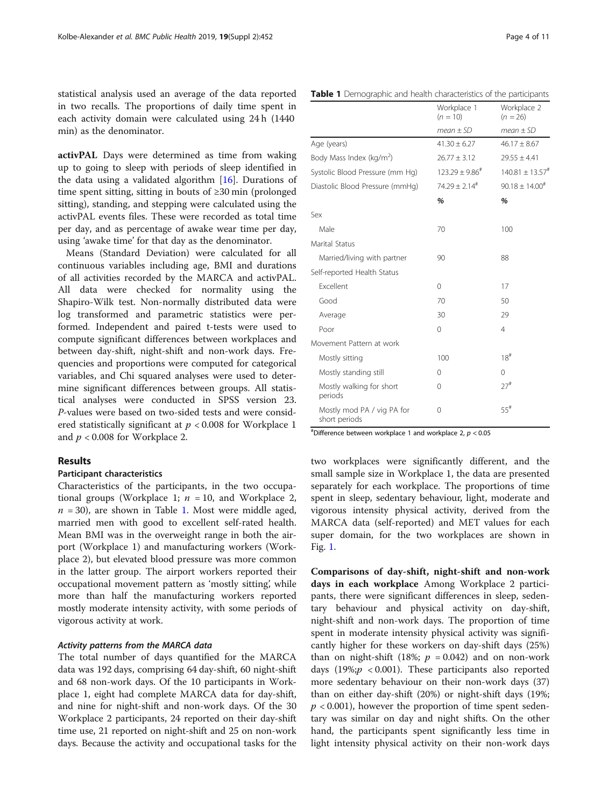statistical analysis used an average of the data reported in two recalls. The proportions of daily time spent in each activity domain were calculated using 24 h (1440 min) as the denominator.

activPAL Days were determined as time from waking up to going to sleep with periods of sleep identified in the data using a validated algorithm  $[16]$ . Durations of time spent sitting, sitting in bouts of ≥30 min (prolonged sitting), standing, and stepping were calculated using the activPAL events files. These were recorded as total time per day, and as percentage of awake wear time per day, using 'awake time' for that day as the denominator.

Means (Standard Deviation) were calculated for all continuous variables including age, BMI and durations of all activities recorded by the MARCA and activPAL. All data were checked for normality using the Shapiro-Wilk test. Non-normally distributed data were log transformed and parametric statistics were performed. Independent and paired t-tests were used to compute significant differences between workplaces and between day-shift, night-shift and non-work days. Frequencies and proportions were computed for categorical variables, and Chi squared analyses were used to determine significant differences between groups. All statistical analyses were conducted in SPSS version 23. P-values were based on two-sided tests and were considered statistically significant at  $p < 0.008$  for Workplace 1 and  $p < 0.008$  for Workplace 2.

#### Results

#### Participant characteristics

Characteristics of the participants, in the two occupational groups (Workplace 1;  $n = 10$ , and Workplace 2,  $n = 30$ , are shown in Table 1. Most were middle aged, married men with good to excellent self-rated health. Mean BMI was in the overweight range in both the airport (Workplace 1) and manufacturing workers (Workplace 2), but elevated blood pressure was more common in the latter group. The airport workers reported their occupational movement pattern as 'mostly sitting', while more than half the manufacturing workers reported mostly moderate intensity activity, with some periods of vigorous activity at work.

#### Activity patterns from the MARCA data

The total number of days quantified for the MARCA data was 192 days, comprising 64 day-shift, 60 night-shift and 68 non-work days. Of the 10 participants in Workplace 1, eight had complete MARCA data for day-shift, and nine for night-shift and non-work days. Of the 30 Workplace 2 participants, 24 reported on their day-shift time use, 21 reported on night-shift and 25 on non-work days. Because the activity and occupational tasks for the

Table 1 Demographic and health characteristics of the participants

|                                             | Workplace 1<br>$(n = 10)$   | Workplace 2<br>$(n = 26)$     |
|---------------------------------------------|-----------------------------|-------------------------------|
|                                             | $mean + SD$                 | $mean + SD$                   |
| Age (years)                                 | $41.30 + 6.27$              | $46.17 + 8.67$                |
| Body Mass Index (kg/m <sup>2</sup> )        | $26.77 \pm 3.12$            | $29.55 \pm 4.41$              |
| Systolic Blood Pressure (mm Hg)             | $123.29 + 9.86^{\#}$        | $140.81 + 13.57$ <sup>#</sup> |
| Diastolic Blood Pressure (mmHg)             | $74.29 + 2.14$ <sup>#</sup> | $90.18 + 14.00^{\#}$          |
|                                             | %                           | %                             |
| Sex                                         |                             |                               |
| Male                                        | 70                          | 100                           |
| <b>Marital Status</b>                       |                             |                               |
| Married/living with partner                 | 90                          | 88                            |
| Self-reported Health Status                 |                             |                               |
| <b>Fxcellent</b>                            | $\Omega$                    | 17                            |
| Good                                        | 70                          | 50                            |
| Average                                     | 30                          | 29                            |
| Poor                                        | 0                           | 4                             |
| Movement Pattern at work                    |                             |                               |
| Mostly sitting                              | 100                         | $18^{#}$                      |
| Mostly standing still                       | $\Omega$                    | $\Omega$                      |
| Mostly walking for short<br>periods         | $\Omega$                    | $27$ <sup>#</sup>             |
| Mostly mod PA / vig PA for<br>short periods | $\Omega$                    | $55$ <sup>#</sup>             |

 $*$ Difference between workplace 1 and workplace 2,  $p < 0.05$ 

two workplaces were significantly different, and the small sample size in Workplace 1, the data are presented separately for each workplace. The proportions of time spent in sleep, sedentary behaviour, light, moderate and vigorous intensity physical activity, derived from the MARCA data (self-reported) and MET values for each super domain, for the two workplaces are shown in Fig. [1](#page-5-0).

Comparisons of day-shift, night-shift and non-work days in each workplace Among Workplace 2 participants, there were significant differences in sleep, sedentary behaviour and physical activity on day-shift, night-shift and non-work days. The proportion of time spent in moderate intensity physical activity was significantly higher for these workers on day-shift days (25%) than on night-shift (18%;  $p = 0.042$ ) and on non-work days (19%; $p < 0.001$ ). These participants also reported more sedentary behaviour on their non-work days (37) than on either day-shift (20%) or night-shift days (19%;  $p < 0.001$ ), however the proportion of time spent sedentary was similar on day and night shifts. On the other hand, the participants spent significantly less time in light intensity physical activity on their non-work days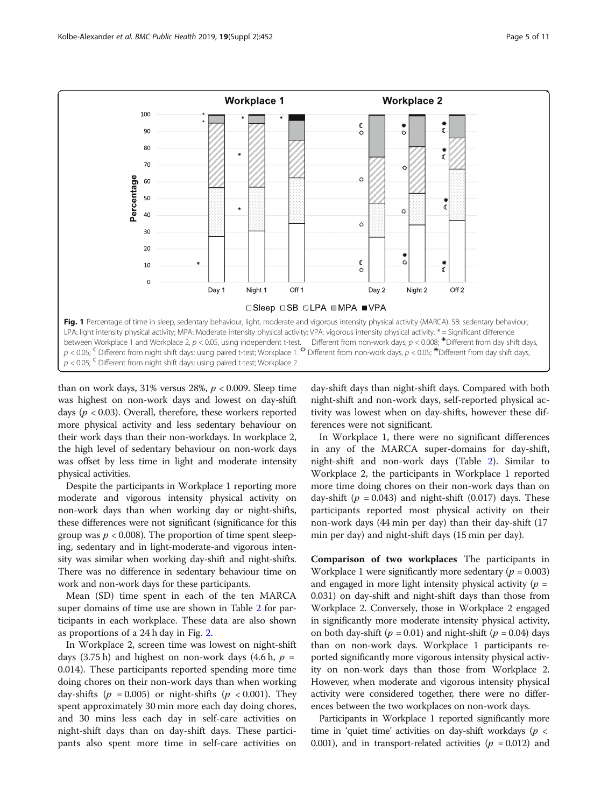<span id="page-5-0"></span>

than on work days, 31% versus 28%,  $p < 0.009$ . Sleep time was highest on non-work days and lowest on day-shift days ( $p < 0.03$ ). Overall, therefore, these workers reported more physical activity and less sedentary behaviour on their work days than their non-workdays. In workplace 2, the high level of sedentary behaviour on non-work days was offset by less time in light and moderate intensity physical activities.

Despite the participants in Workplace 1 reporting more moderate and vigorous intensity physical activity on non-work days than when working day or night-shifts, these differences were not significant (significance for this group was  $p < 0.008$ ). The proportion of time spent sleeping, sedentary and in light-moderate-and vigorous intensity was similar when working day-shift and night-shifts. There was no difference in sedentary behaviour time on work and non-work days for these participants.

Mean (SD) time spent in each of the ten MARCA super domains of time use are shown in Table [2](#page-6-0) for participants in each workplace. These data are also shown as proportions of a 24 h day in Fig. [2](#page-6-0).

In Workplace 2, screen time was lowest on night-shift days (3.75 h) and highest on non-work days (4.6 h,  $p =$ 0.014). These participants reported spending more time doing chores on their non-work days than when working day-shifts ( $p = 0.005$ ) or night-shifts ( $p < 0.001$ ). They spent approximately 30 min more each day doing chores, and 30 mins less each day in self-care activities on night-shift days than on day-shift days. These participants also spent more time in self-care activities on day-shift days than night-shift days. Compared with both night-shift and non-work days, self-reported physical activity was lowest when on day-shifts, however these differences were not significant.

In Workplace 1, there were no significant differences in any of the MARCA super-domains for day-shift, night-shift and non-work days (Table [2\)](#page-6-0). Similar to Workplace 2, the participants in Workplace 1 reported more time doing chores on their non-work days than on day-shift ( $p = 0.043$ ) and night-shift (0.017) days. These participants reported most physical activity on their non-work days (44 min per day) than their day-shift (17 min per day) and night-shift days (15 min per day).

Comparison of two workplaces The participants in Workplace 1 were significantly more sedentary ( $p = 0.003$ ) and engaged in more light intensity physical activity ( $p =$ 0.031) on day-shift and night-shift days than those from Workplace 2. Conversely, those in Workplace 2 engaged in significantly more moderate intensity physical activity, on both day-shift ( $p = 0.01$ ) and night-shift ( $p = 0.04$ ) days than on non-work days. Workplace 1 participants reported significantly more vigorous intensity physical activity on non-work days than those from Workplace 2. However, when moderate and vigorous intensity physical activity were considered together, there were no differences between the two workplaces on non-work days.

Participants in Workplace 1 reported significantly more time in 'quiet time' activities on day-shift workdays ( $p <$ 0.001), and in transport-related activities ( $p = 0.012$ ) and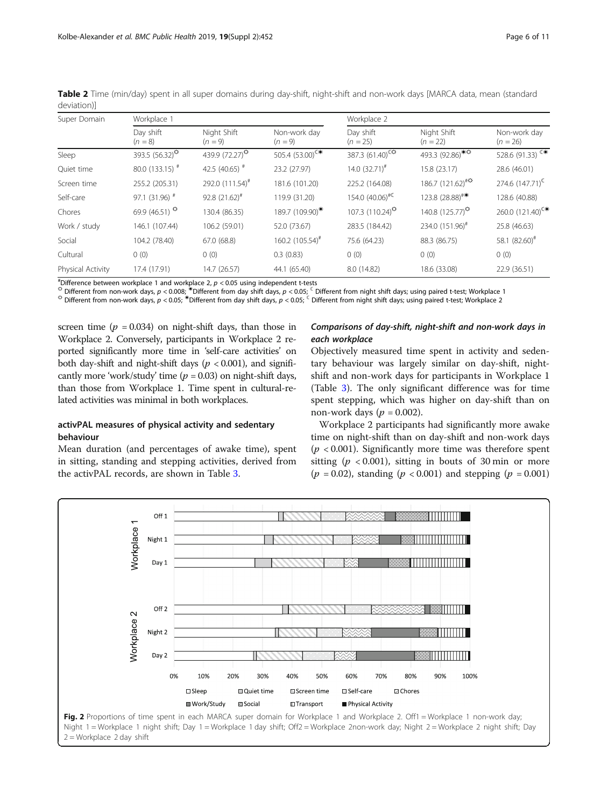| Super Domain      | Workplace 1                    |                                            |                               |                                               | Workplace 2                  |                                                     |  |
|-------------------|--------------------------------|--------------------------------------------|-------------------------------|-----------------------------------------------|------------------------------|-----------------------------------------------------|--|
|                   | Day shift<br>$(n = 8)$         | Night Shift<br>$(n = 9)$                   | Non-work day<br>$(n = 9)$     | Day shift<br>$(n = 25)$                       | Night Shift<br>$(n = 22)$    | Non-work day<br>$(n = 26)$                          |  |
| Sleep             | 393.5 $(56.32)^{\mathfrak{S}}$ | 439.9 (72.27) <sup><math>\Phi</math></sup> | 505.4 $(53.00)^{C*}$          | 387.3 $(61.40)^{C\Phi}$                       | 493.3 (92.86)***             | 528.6 (91.33) <sup><math>C#</math></sup>            |  |
| Quiet time        | $80.0(133.15)^{4}$             | 42.5 (40.65) $#$                           | 23.2 (27.97)                  | $14.0(32.71)^{#}$                             | 15.8 (23.17)                 | 28.6 (46.01)                                        |  |
| Screen time       | 255.2 (205.31)                 | 292.0 (111.54) <sup>#</sup>                | 181.6 (101.20)                | 225.2 (164.08)                                | 186.7 $(121.62)^{#Q}$        | 274.6 $(147.71)^{\mathbb{C}}$                       |  |
| Self-care         | $97.1$ (31.96) <sup>#</sup>    | $92.8(21.62)^{#}$                          | 119.9 (31.20)                 | 154.0 (40.06) <sup>#C</sup>                   | 123.8 (28.88) <sup>#**</sup> | 128.6 (40.88)                                       |  |
| Chores            | 69.9 (46.51) $\circ$           | 130.4 (86.35)                              | 189.7 (109.90)*               | 107.3 $(110.24)$ <sup><math>\Phi</math></sup> | 140.8 $(125.77)^{\text{O}}$  | 260.0 (121.40) <sup><math>\mathbb{C}^*</math></sup> |  |
| Work / study      | 146.1 (107.44)                 | 106.2 (59.01)                              | 52.0 (73.67)                  | 283.5 (184.42)                                | 234.0 (151.96) <sup>#</sup>  | 25.8 (46.63)                                        |  |
| Social            | 104.2 (78.40)                  | 67.0 (68.8)                                | $160.2$ (105.54) <sup>#</sup> | 75.6 (64.23)                                  | 88.3 (86.75)                 | 58.1 (82.60) <sup>#</sup>                           |  |
| Cultural          | 0(0)                           | 0(0)                                       | 0.3(0.83)                     | 0(0)                                          | 0(0)                         | 0(0)                                                |  |
| Physical Activity | 17.4 (17.91)                   | 14.7 (26.57)                               | 44.1 (65.40)                  | 8.0 (14.82)                                   | 18.6 (33.08)                 | 22.9 (36.51)                                        |  |

<span id="page-6-0"></span>Table 2 Time (min/day) spent in all super domains during day-shift, night-shift and non-work days [MARCA data, mean (standard deviation)]

 $*$ Difference between workplace 1 and workplace 2,  $p < 0.05$  using independent t-tests

<sup>C</sup> Different from non-work days, p < 0.008; \*Different from day shift days, p < 0.05; <sup>C</sup> Different from night shift days; using paired t-test; Workplace 1<br><sup>C</sup> Different from non-work days, p < 0.05; \*Different from day

screen time ( $p = 0.034$ ) on night-shift days, than those in Workplace 2. Conversely, participants in Workplace 2 reported significantly more time in 'self-care activities' on both day-shift and night-shift days ( $p < 0.001$ ), and significantly more 'work/study' time ( $p = 0.03$ ) on night-shift days, than those from Workplace 1. Time spent in cultural-related activities was minimal in both workplaces.

#### activPAL measures of physical activity and sedentary behaviour

Mean duration (and percentages of awake time), spent in sitting, standing and stepping activities, derived from the activPAL records, are shown in Table [3](#page-7-0).

#### Comparisons of day-shift, night-shift and non-work days in each workplace

Objectively measured time spent in activity and sedentary behaviour was largely similar on day-shift, nightshift and non-work days for participants in Workplace 1 (Table [3\)](#page-7-0). The only significant difference was for time spent stepping, which was higher on day-shift than on non-work days ( $p = 0.002$ ).

Workplace 2 participants had significantly more awake time on night-shift than on day-shift and non-work days  $(p < 0.001)$ . Significantly more time was therefore spent sitting ( $p < 0.001$ ), sitting in bouts of 30 min or more  $(p = 0.02)$ , standing  $(p < 0.001)$  and stepping  $(p = 0.001)$ 



Night 1 = Workplace 1 night shift; Day 1 = Workplace 1 day shift; Off2 = Workplace 2non-work day; Night 2 = Workplace 2 night shift; Day  $2 =$  Workplace 2 day shift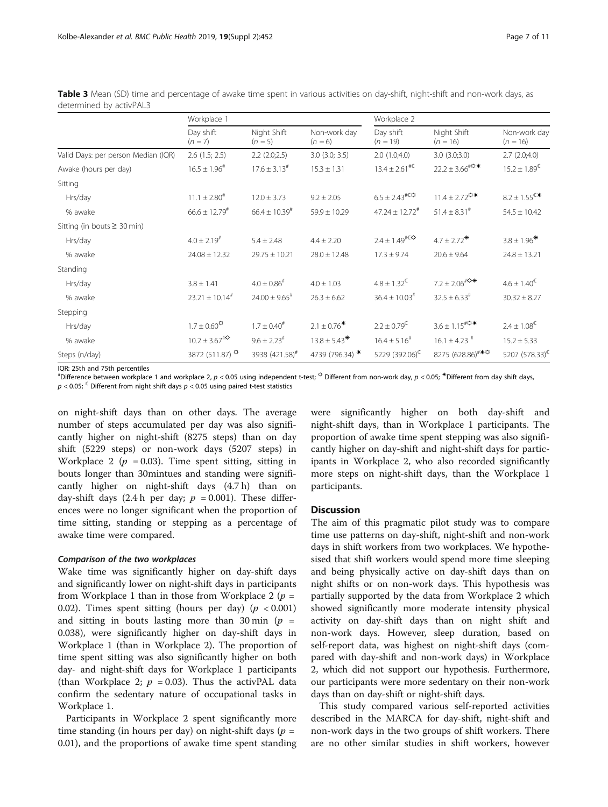|                                     | Workplace 1                                |                             |                           | Workplace 2                   |                                |                            |
|-------------------------------------|--------------------------------------------|-----------------------------|---------------------------|-------------------------------|--------------------------------|----------------------------|
|                                     | Day shift<br>$(n = 7)$                     | Night Shift<br>$(n = 5)$    | Non-work day<br>$(n = 6)$ | Day shift<br>$(n = 19)$       | Night Shift<br>$(n = 16)$      | Non-work day<br>$(n = 16)$ |
| Valid Days: per person Median (IQR) | $2.6$ $(1.5; 2.5)$                         | $2.2$ $(2.0;2.5)$           | $3.0$ $(3.0; 3.5)$        | 2.0(1.0;4.0)                  | 3.0(3.0;3.0)                   | 2.7(2.0;4.0)               |
| Awake (hours per day)               | $16.5 \pm 1.96^{\text{*}}$                 | $17.6 \pm 3.13^{\#}$        | $15.3 \pm 1.31$           | $13.4 \pm 2.61^{*\mathbb{C}}$ | $22.2 \pm 3.66^{\text{\#O}}$ * | $15.2 \pm 1.89^{\circ}$    |
| Sitting                             |                                            |                             |                           |                               |                                |                            |
| Hrs/day                             | $11.1 \pm 2.80^{\text{*}}$                 | $12.0 \pm 3.73$             | $9.2 \pm 2.05$            | $6.5 \pm 2.43^{*00}$          | $11.4 \pm 2.72^{\text{O}}$ *   | $8.2 \pm 1.55^{\circ*}$    |
| % awake                             | $66.6 \pm 12.79$ <sup>#</sup>              | $66.4 \pm 10.39^{\text{*}}$ | $59.9 \pm 10.29$          | $47.24 \pm 12.72^{\text{*}}$  | $51.4 \pm 8.31^{\#}$           | $54.5 \pm 10.42$           |
| Sitting (in bouts $\geq 30$ min)    |                                            |                             |                           |                               |                                |                            |
| Hrs/day                             | $4.0 \pm 2.19^{#}$                         | $5.4 \pm 2.48$              | $4.4 \pm 2.20$            | $2.4 \pm 1.49^{#CQ}$          | $4.7 \pm 2.72$ *               | $3.8 \pm 1.96$ *           |
| % awake                             | $24.08 \pm 12.32$                          | $29.75 \pm 10.21$           | $28.0 \pm 12.48$          | $17.3 \pm 9.74$               | $20.6 \pm 9.64$                | $24.8 \pm 13.21$           |
| Standing                            |                                            |                             |                           |                               |                                |                            |
| Hrs/day                             | $3.8 \pm 1.41$                             | $4.0 \pm 0.86^{\#}$         | $4.0 \pm 1.03$            | $4.8 \pm 1.32^{\circ}$        | $7.2 \pm 2.06^{#Q*}$           | $4.6 \pm 1.40^{\circ}$     |
| % awake                             | $23.21 \pm 10.14^{\#}$                     | $24.00 \pm 9.65^{\text{*}}$ | $26.3 \pm 6.62$           | $36.4 \pm 10.03$ <sup>#</sup> | $32.5 \pm 6.33$ <sup>#</sup>   | $30.32 \pm 8.27$           |
| Stepping                            |                                            |                             |                           |                               |                                |                            |
| Hrs/day                             | $1.7 \pm 0.60^{\rm O}$                     | $1.7 \pm 0.40^{\#}$         | $2.1 \pm 0.76$ *          | $2.2 \pm 0.79^{\circ}$        | $3.6 \pm 1.15^{*O*}$           | $2.4 \pm 1.08^{\circ}$     |
| % awake                             | $10.2 \pm 3.67^{*0}$                       | $9.6 \pm 2.23$ <sup>#</sup> | $13.8 \pm 5.43$ *         | $16.4 \pm 5.16^{\text{*}}$    | $16.1 \pm 4.23$ #              | $15.2 \pm 5.33$            |
| Steps (n/day)                       | 3872 (511.87) <sup><math>\Phi</math></sup> | 3938 (421.58) <sup>#</sup>  | 4739 (796.34) *           | 5229 (392.06) <sup>C</sup>    | 8275 (628.86) <sup>#***</sup>  | 5207 (578.33) $^{\circ}$   |

<span id="page-7-0"></span>Table 3 Mean (SD) time and percentage of awake time spent in various activities on day-shift, night-shift and non-work days, as determined by activPAL3

IQR: 25th and 75th percentiles

 $^{\text{\tiny{\textsf{#}}}}$ Difference between workplace 1 and workplace 2,  $p <$  0.05 using independent t-test;  $^{\circ}$  Different from non-work day,  $p <$  0.05;  $^{\text{\tiny{\textsf{#}}}}$ Different from day shift days,  $p < 0.05$ ; C Different from night shift days  $p < 0.05$  using paired t-test statistics

on night-shift days than on other days. The average number of steps accumulated per day was also significantly higher on night-shift (8275 steps) than on day shift (5229 steps) or non-work days (5207 steps) in Workplace 2 ( $p = 0.03$ ). Time spent sitting, sitting in bouts longer than 30mintues and standing were significantly higher on night-shift days (4.7 h) than on day-shift days (2.4 h per day;  $p = 0.001$ ). These differences were no longer significant when the proportion of time sitting, standing or stepping as a percentage of awake time were compared.

#### Comparison of the two workplaces

Wake time was significantly higher on day-shift days and significantly lower on night-shift days in participants from Workplace 1 than in those from Workplace 2 ( $p =$ 0.02). Times spent sitting (hours per day) ( $p < 0.001$ ) and sitting in bouts lasting more than 30 min ( $p =$ 0.038), were significantly higher on day-shift days in Workplace 1 (than in Workplace 2). The proportion of time spent sitting was also significantly higher on both day- and night-shift days for Workplace 1 participants (than Workplace 2;  $p = 0.03$ ). Thus the activPAL data confirm the sedentary nature of occupational tasks in Workplace 1.

Participants in Workplace 2 spent significantly more time standing (in hours per day) on night-shift days ( $p =$ 0.01), and the proportions of awake time spent standing were significantly higher on both day-shift and night-shift days, than in Workplace 1 participants. The proportion of awake time spent stepping was also significantly higher on day-shift and night-shift days for participants in Workplace 2, who also recorded significantly more steps on night-shift days, than the Workplace 1 participants.

#### **Discussion**

The aim of this pragmatic pilot study was to compare time use patterns on day-shift, night-shift and non-work days in shift workers from two workplaces. We hypothesised that shift workers would spend more time sleeping and being physically active on day-shift days than on night shifts or on non-work days. This hypothesis was partially supported by the data from Workplace 2 which showed significantly more moderate intensity physical activity on day-shift days than on night shift and non-work days. However, sleep duration, based on self-report data, was highest on night-shift days (compared with day-shift and non-work days) in Workplace 2, which did not support our hypothesis. Furthermore, our participants were more sedentary on their non-work days than on day-shift or night-shift days.

This study compared various self-reported activities described in the MARCA for day-shift, night-shift and non-work days in the two groups of shift workers. There are no other similar studies in shift workers, however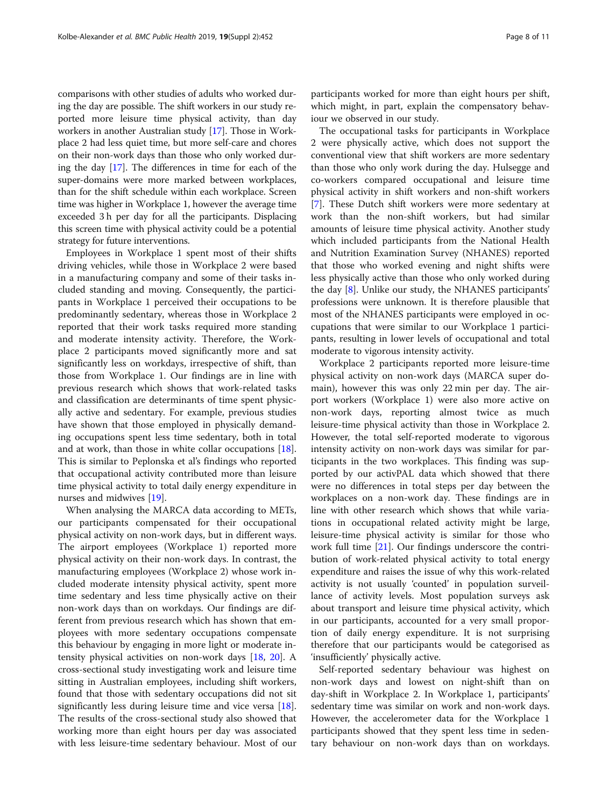comparisons with other studies of adults who worked during the day are possible. The shift workers in our study reported more leisure time physical activity, than day workers in another Australian study [[17](#page-10-0)]. Those in Workplace 2 had less quiet time, but more self-care and chores on their non-work days than those who only worked during the day [\[17\]](#page-10-0). The differences in time for each of the super-domains were more marked between workplaces, than for the shift schedule within each workplace. Screen time was higher in Workplace 1, however the average time exceeded 3 h per day for all the participants. Displacing this screen time with physical activity could be a potential strategy for future interventions.

Employees in Workplace 1 spent most of their shifts driving vehicles, while those in Workplace 2 were based in a manufacturing company and some of their tasks included standing and moving. Consequently, the participants in Workplace 1 perceived their occupations to be predominantly sedentary, whereas those in Workplace 2 reported that their work tasks required more standing and moderate intensity activity. Therefore, the Workplace 2 participants moved significantly more and sat significantly less on workdays, irrespective of shift, than those from Workplace 1. Our findings are in line with previous research which shows that work-related tasks and classification are determinants of time spent physically active and sedentary. For example, previous studies have shown that those employed in physically demanding occupations spent less time sedentary, both in total and at work, than those in white collar occupations [\[18](#page-11-0)]. This is similar to Peplonska et al's findings who reported that occupational activity contributed more than leisure time physical activity to total daily energy expenditure in nurses and midwives [\[19\]](#page-11-0).

When analysing the MARCA data according to METs, our participants compensated for their occupational physical activity on non-work days, but in different ways. The airport employees (Workplace 1) reported more physical activity on their non-work days. In contrast, the manufacturing employees (Workplace 2) whose work included moderate intensity physical activity, spent more time sedentary and less time physically active on their non-work days than on workdays. Our findings are different from previous research which has shown that employees with more sedentary occupations compensate this behaviour by engaging in more light or moderate intensity physical activities on non-work days [\[18](#page-11-0), [20](#page-11-0)]. A cross-sectional study investigating work and leisure time sitting in Australian employees, including shift workers, found that those with sedentary occupations did not sit significantly less during leisure time and vice versa [\[18](#page-11-0)]. The results of the cross-sectional study also showed that working more than eight hours per day was associated with less leisure-time sedentary behaviour. Most of our participants worked for more than eight hours per shift, which might, in part, explain the compensatory behaviour we observed in our study.

The occupational tasks for participants in Workplace 2 were physically active, which does not support the conventional view that shift workers are more sedentary than those who only work during the day. Hulsegge and co-workers compared occupational and leisure time physical activity in shift workers and non-shift workers [[7\]](#page-10-0). These Dutch shift workers were more sedentary at work than the non-shift workers, but had similar amounts of leisure time physical activity. Another study which included participants from the National Health and Nutrition Examination Survey (NHANES) reported that those who worked evening and night shifts were less physically active than those who only worked during the day [\[8\]](#page-10-0). Unlike our study, the NHANES participants' professions were unknown. It is therefore plausible that most of the NHANES participants were employed in occupations that were similar to our Workplace 1 participants, resulting in lower levels of occupational and total moderate to vigorous intensity activity.

Workplace 2 participants reported more leisure-time physical activity on non-work days (MARCA super domain), however this was only 22 min per day. The airport workers (Workplace 1) were also more active on non-work days, reporting almost twice as much leisure-time physical activity than those in Workplace 2. However, the total self-reported moderate to vigorous intensity activity on non-work days was similar for participants in the two workplaces. This finding was supported by our activPAL data which showed that there were no differences in total steps per day between the workplaces on a non-work day. These findings are in line with other research which shows that while variations in occupational related activity might be large, leisure-time physical activity is similar for those who work full time [\[21](#page-11-0)]. Our findings underscore the contribution of work-related physical activity to total energy expenditure and raises the issue of why this work-related activity is not usually 'counted' in population surveillance of activity levels. Most population surveys ask about transport and leisure time physical activity, which in our participants, accounted for a very small proportion of daily energy expenditure. It is not surprising therefore that our participants would be categorised as 'insufficiently' physically active.

Self-reported sedentary behaviour was highest on non-work days and lowest on night-shift than on day-shift in Workplace 2. In Workplace 1, participants' sedentary time was similar on work and non-work days. However, the accelerometer data for the Workplace 1 participants showed that they spent less time in sedentary behaviour on non-work days than on workdays.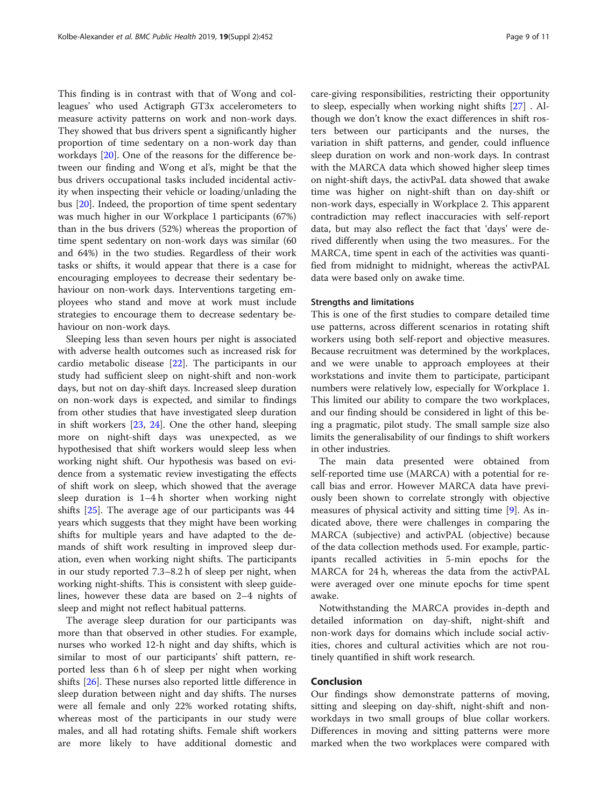This finding is in contrast with that of Wong and colleagues' who used Actigraph GT3x accelerometers to measure activity patterns on work and non-work days. They showed that bus drivers spent a significantly higher proportion of time sedentary on a non-work day than workdays [[20](#page-11-0)]. One of the reasons for the difference between our finding and Wong et al's, might be that the bus drivers occupational tasks included incidental activity when inspecting their vehicle or loading/unlading the bus [\[20](#page-11-0)]. Indeed, the proportion of time spent sedentary was much higher in our Workplace 1 participants (67%) than in the bus drivers (52%) whereas the proportion of time spent sedentary on non-work days was similar (60 and 64%) in the two studies. Regardless of their work tasks or shifts, it would appear that there is a case for encouraging employees to decrease their sedentary behaviour on non-work days. Interventions targeting employees who stand and move at work must include strategies to encourage them to decrease sedentary behaviour on non-work days.

Sleeping less than seven hours per night is associated with adverse health outcomes such as increased risk for cardio metabolic disease [[22\]](#page-11-0). The participants in our study had sufficient sleep on night-shift and non-work days, but not on day-shift days. Increased sleep duration on non-work days is expected, and similar to findings from other studies that have investigated sleep duration in shift workers [[23](#page-11-0), [24\]](#page-11-0). One the other hand, sleeping more on night-shift days was unexpected, as we hypothesised that shift workers would sleep less when working night shift. Our hypothesis was based on evidence from a systematic review investigating the effects of shift work on sleep, which showed that the average sleep duration is 1–4 h shorter when working night shifts [[25](#page-11-0)]. The average age of our participants was 44 years which suggests that they might have been working shifts for multiple years and have adapted to the demands of shift work resulting in improved sleep duration, even when working night shifts. The participants in our study reported 7.3–8.2 h of sleep per night, when working night-shifts. This is consistent with sleep guidelines, however these data are based on 2–4 nights of sleep and might not reflect habitual patterns.

The average sleep duration for our participants was more than that observed in other studies. For example, nurses who worked 12-h night and day shifts, which is similar to most of our participants' shift pattern, reported less than 6 h of sleep per night when working shifts [[26\]](#page-11-0). These nurses also reported little difference in sleep duration between night and day shifts. The nurses were all female and only 22% worked rotating shifts, whereas most of the participants in our study were males, and all had rotating shifts. Female shift workers are more likely to have additional domestic and care-giving responsibilities, restricting their opportunity to sleep, especially when working night shifts [[27](#page-11-0)] . Although we don't know the exact differences in shift rosters between our participants and the nurses, the variation in shift patterns, and gender, could influence sleep duration on work and non-work days. In contrast with the MARCA data which showed higher sleep times on night-shift days, the activPaL data showed that awake time was higher on night-shift than on day-shift or non-work days, especially in Workplace 2. This apparent contradiction may reflect inaccuracies with self-report data, but may also reflect the fact that 'days' were derived differently when using the two measures.. For the MARCA, time spent in each of the activities was quantified from midnight to midnight, whereas the activPAL data were based only on awake time.

#### Strengths and limitations

This is one of the first studies to compare detailed time use patterns, across different scenarios in rotating shift workers using both self-report and objective measures. Because recruitment was determined by the workplaces, and we were unable to approach employees at their workstations and invite them to participate, participant numbers were relatively low, especially for Workplace 1. This limited our ability to compare the two workplaces, and our finding should be considered in light of this being a pragmatic, pilot study. The small sample size also limits the generalisability of our findings to shift workers in other industries.

The main data presented were obtained from self-reported time use (MARCA) with a potential for recall bias and error. However MARCA data have previously been shown to correlate strongly with objective measures of physical activity and sitting time [[9\]](#page-10-0). As indicated above, there were challenges in comparing the MARCA (subjective) and activPAL (objective) because of the data collection methods used. For example, participants recalled activities in 5-min epochs for the MARCA for 24 h, whereas the data from the activPAL were averaged over one minute epochs for time spent awake.

Notwithstanding the MARCA provides in-depth and detailed information on day-shift, night-shift and non-work days for domains which include social activities, chores and cultural activities which are not routinely quantified in shift work research.

#### Conclusion

Our findings show demonstrate patterns of moving, sitting and sleeping on day-shift, night-shift and nonworkdays in two small groups of blue collar workers. Differences in moving and sitting patterns were more marked when the two workplaces were compared with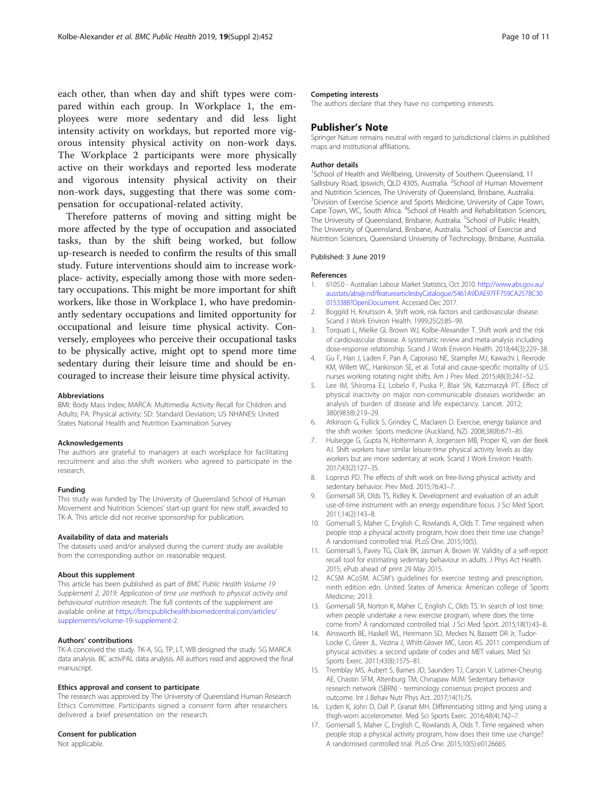<span id="page-10-0"></span>each other, than when day and shift types were compared within each group. In Workplace 1, the employees were more sedentary and did less light intensity activity on workdays, but reported more vigorous intensity physical activity on non-work days. The Workplace 2 participants were more physically active on their workdays and reported less moderate and vigorous intensity physical activity on their non-work days, suggesting that there was some compensation for occupational-related activity.

Therefore patterns of moving and sitting might be more affected by the type of occupation and associated tasks, than by the shift being worked, but follow up-research is needed to confirm the results of this small study. Future interventions should aim to increase workplace- activity, especially among those with more sedentary occupations. This might be more important for shift workers, like those in Workplace 1, who have predominantly sedentary occupations and limited opportunity for occupational and leisure time physical activity. Conversely, employees who perceive their occupational tasks to be physically active, might opt to spend more time sedentary during their leisure time and should be encouraged to increase their leisure time physical activity.

#### Abbreviations

BMI: Body Mass Index; MARCA: Multimedia Activity Recall for Children and Adults; PA: Physical activity; SD: Standard Deviation; US NHANES: United States National Health and Nutrition Examination Survey

#### Acknowledgements

The authors are grateful to managers at each workplace for facilitating recruitment and also the shift workers who agreed to participate in the research.

#### Funding

This study was funded by The University of Queensland School of Human Movement and Nutrition Sciences' start-up grant for new staff, awarded to TK-A. This article did not receive sponsorship for publication.

#### Availability of data and materials

The datasets used and/or analysed during the current study are available from the corresponding author on reasonable request.

#### About this supplement

This article has been published as part of BMC Public Health Volume 19 Supplement 2, 2019: Application of time use methods to physical activity and behavioural nutrition research. The full contents of the supplement are available online at [https://bmcpublichealth.biomedcentral.com/articles/](https://bmcpublichealth.biomedcentral.com/articles/supplements/volume-19-supplement-2) [supplements/volume-19-supplement-2.](https://bmcpublichealth.biomedcentral.com/articles/supplements/volume-19-supplement-2)

#### Authors' contributions

TK-A conceived the study. TK-A, SG, TP, LT, WB designed the study. SG MARCA data analysis. BC activPAL data analysis. All authors read and approved the final manuscript.

#### Ethics approval and consent to participate

The research was approved by The University of Queensland Human Research Ethics Committee. Participants signed a consent form after researchers delivered a brief presentation on the research.

#### Consent for publication

Not applicable.

#### Competing interests

The authors declare that they have no competing interests.

#### Publisher's Note

Springer Nature remains neutral with regard to jurisdictional claims in published maps and institutional affiliations.

#### Author details

<sup>1</sup>School of Health and Wellbeing, University of Southern Queensland, 11 Sallisbury Road, Ipswich, QLD 4305, Australia. <sup>2</sup>School of Human Movement and Nutrition Sciences, The University of Queensland, Brisbane, Australia. <sup>3</sup> Division of Exercise Science and Sports Medicine, University of Cape Town, Cape Town, WC, South Africa. <sup>4</sup>School of Health and Rehabilitation Sciences The University of Queensland, Brisbane, Australia. <sup>5</sup>School of Public Health The University of Queensland, Brisbane, Australia. <sup>6</sup>School of Exercise and Nutrition Sciences, Queensland University of Technology, Brisbane, Australia.

#### Published: 3 June 2019

#### References

- 1. 6105.0 Australian Labour Market Statistics, Oct 2010. [http://www.abs.gov.au/](http://www.abs.gov.au/ausstats/abs@.nsf/featurearticlesbyCatalogue/5461A9DAE97FF759CA2578C300153388?OpenDocument) [ausstats/abs@.nsf/featurearticlesbyCatalogue/5461A9DAE97FF759CA2578C30](http://www.abs.gov.au/ausstats/abs@.nsf/featurearticlesbyCatalogue/5461A9DAE97FF759CA2578C300153388?OpenDocument) [0153388?OpenDocument.](http://www.abs.gov.au/ausstats/abs@.nsf/featurearticlesbyCatalogue/5461A9DAE97FF759CA2578C300153388?OpenDocument) Accessed Dec 2017.
- 2. Boggild H, Knutsson A. Shift work, risk factors and cardiovascular disease. Scand J Work Environ Health. 1999;25(2):85–99.
- 3. Torquati L, Mielke GI, Brown WJ, Kolbe-Alexander T. Shift work and the risk of cardiovascular disease. A systematic review and meta-analysis including dose-response relationship. Scand J Work Environ Health. 2018;44(3):229–38.
- 4. Gu F, Han J, Laden F, Pan A, Caporaso NE, Stampfer MJ, Kawachi I, Rexrode KM, Willett WC, Hankinson SE, et al. Total and cause-specific mortality of U.S. nurses working rotating night shifts. Am J Prev Med. 2015;48(3):241–52.
- 5. Lee IM, Shiroma EJ, Lobelo F, Puska P, Blair SN, Katzmarzyk PT. Effect of physical inactivity on major non-communicable diseases worldwide: an analysis of burden of disease and life expectancy. Lancet. 2012; 380(9838):219–29.
- 6. Atkinson G, Fullick S, Grindey C, Maclaren D. Exercise, energy balance and the shift worker. Sports medicine (Auckland, NZ). 2008;38(8):671–85.
- 7. Hulsegge G, Gupta N, Holtermann A, Jorgensen MB, Proper KI, van der Beek AJ. Shift workers have similar leisure-time physical activity levels as day workers but are more sedentary at work. Scand J Work Environ Health. 2017;43(2):127–35.
- 8. Loprinzi PD. The effects of shift work on free-living physical activity and sedentary behavior. Prev Med. 2015;76:43–7.
- 9. Gomersall SR, Olds TS, Ridley K. Development and evaluation of an adult use-of-time instrument with an energy expenditure focus. J Sci Med Sport. 2011;14(2):143–8.
- 10. Gomersall S, Maher C, English C, Rowlands A, Olds T. Time regained: when people stop a physical activity program, how does their time use change? A randomised controlled trial. PLoS One. 2015;10(5).
- 11. Gomersall S, Pavey TG, Clark BK, Jasman A, Brown W. Validity of a self-report recall tool for estimating sedentary behaviour in adults. J Phys Act Health. 2015; ePub ahead of print 29 May 2015.
- 12. ACSM ACoSM. ACSM's guidelines for exercise testing and prescription, ninth edition edn. United States of America: American college of Sports Medicine; 2013.
- 13. Gomersall SR, Norton K, Maher C, English C, Olds TS. In search of lost time: when people undertake a new exercise program, where does the time come from? A randomized controlled trial. J Sci Med Sport. 2015;18(1):43–8.
- 14. Ainsworth BE, Haskell WL, Herrmann SD, Meckes N, Bassett DR Jr, Tudor-Locke C, Greer JL, Vezina J, Whitt-Glover MC, Leon AS. 2011 compendium of physical activities: a second update of codes and MET values. Med Sci Sports Exerc. 2011;43(8):1575–81.
- 15. Tremblay MS, Aubert S, Barnes JD, Saunders TJ, Carson V, Latimer-Cheung AE, Chastin SFM, Altenburg TM, Chinapaw MJM. Sedentary behavior research network (SBRN) - terminology consensus project process and outcome. Int J Behav Nutr Phys Act. 2017;14(1):75.
- 16. Lyden K, John D, Dall P, Granat MH. Differentiating sitting and lying using a thigh-worn accelerometer. Med Sci Sports Exerc. 2016;48(4):742–7.
- 17. Gomersall S, Maher C, English C, Rowlands A, Olds T. Time regained: when people stop a physical activity program, how does their time use change? A randomised controlled trial. PLoS One. 2015;10(5):e0126665.